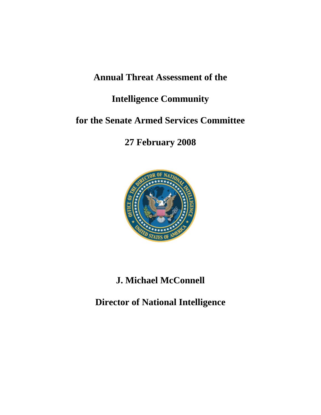## **Annual Threat Assessment of the**

## **Intelligence Community**

## **for the Senate Armed Services Committee**

## **27 February 2008**



# **J. Michael McConnell**

**Director of National Intelligence**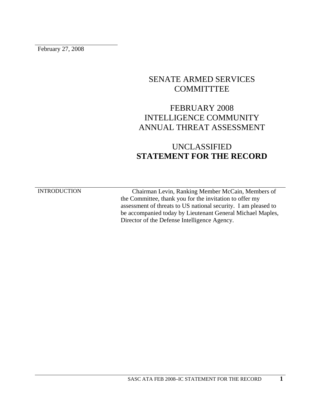February 27, 2008

## SENATE ARMED SERVICES **COMMITTTEE**

## FEBRUARY 2008 INTELLIGENCE COMMUNITY ANNUAL THREAT ASSESSMENT

## UNCLASSIFIED **STATEMENT FOR THE RECORD**

INTRODUCTION Chairman Levin, Ranking Member McCain, Members of the Committee, thank you for the invitation to offer my assessment of threats to US national security. I am pleased to be accompanied today by Lieutenant General Michael Maples, Director of the Defense Intelligence Agency.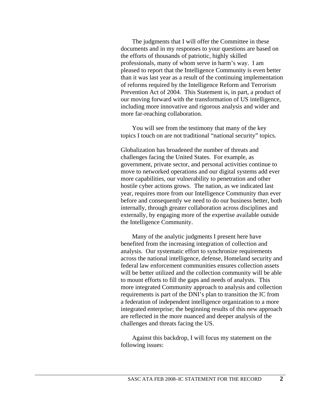The judgments that I will offer the Committee in these documents and in my responses to your questions are based on the efforts of thousands of patriotic, highly skilled professionals, many of whom serve in harm's way. I am pleased to report that the Intelligence Community is even better than it was last year as a result of the continuing implementation of reforms required by the Intelligence Reform and Terrorism Prevention Act of 2004. This Statement is, in part, a product of our moving forward with the transformation of US intelligence, including more innovative and rigorous analysis and wider and more far-reaching collaboration.

You will see from the testimony that many of the key topics I touch on are not traditional "national security" topics.

Globalization has broadened the number of threats and challenges facing the United States. For example, as government, private sector, and personal activities continue to move to networked operations and our digital systems add ever more capabilities, our vulnerability to penetration and other hostile cyber actions grows. The nation, as we indicated last year, requires more from our Intelligence Community than ever before and consequently we need to do our business better, both internally, through greater collaboration across disciplines and externally, by engaging more of the expertise available outside the Intelligence Community.

Many of the analytic judgments I present here have benefited from the increasing integration of collection and analysis. Our systematic effort to synchronize requirements across the national intelligence, defense, Homeland security and federal law enforcement communities ensures collection assets will be better utilized and the collection community will be able to mount efforts to fill the gaps and needs of analysts. This more integrated Community approach to analysis and collection requirements is part of the DNI's plan to transition the IC from a federation of independent intelligence organization to a more integrated enterprise; the beginning results of this new approach are reflected in the more nuanced and deeper analysis of the challenges and threats facing the US.

Against this backdrop, I will focus my statement on the following issues: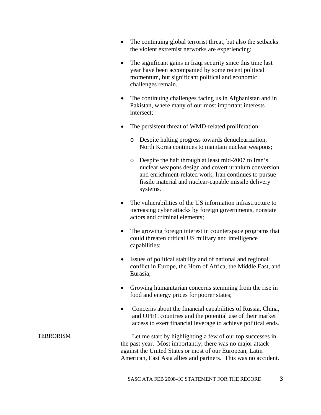- The continuing global terrorist threat, but also the setbacks the violent extremist networks are experiencing;
- The significant gains in Iraqi security since this time last year have been accompanied by some recent political momentum, but significant political and economic challenges remain.
- The continuing challenges facing us in Afghanistan and in Pakistan, where many of our most important interests intersect;
- The persistent threat of WMD-related proliferation:
	- o Despite halting progress towards denuclearization, North Korea continues to maintain nuclear weapons;
	- o Despite the halt through at least mid-2007 to Iran's nuclear weapons design and covert uranium conversion and enrichment-related work, Iran continues to pursue fissile material and nuclear-capable missile delivery systems.
- The vulnerabilities of the US information infrastructure to increasing cyber attacks by foreign governments, nonstate actors and criminal elements;
- The growing foreign interest in counterspace programs that could threaten critical US military and intelligence capabilities;
- Issues of political stability and of national and regional conflict in Europe, the Horn of Africa, the Middle East, and Eurasia;
- Growing humanitarian concerns stemming from the rise in food and energy prices for poorer states;
- Concerns about the financial capabilities of Russia, China, and OPEC countries and the potential use of their market access to exert financial leverage to achieve political ends.

TERRORISM Let me start by highlighting a few of our top successes in the past year. Most importantly, there was no major attack against the United States or most of our European, Latin American, East Asia allies and partners. This was no accident.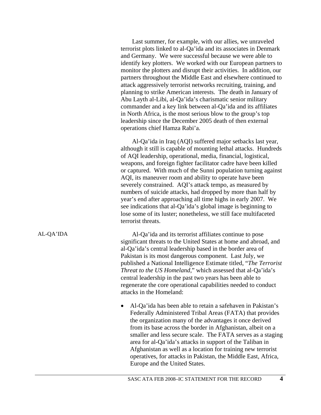Last summer, for example, with our allies, we unraveled terrorist plots linked to al-Qa'ida and its associates in Denmark and Germany. We were successful because we were able to identify key plotters. We worked with our European partners to monitor the plotters and disrupt their activities. In addition, our partners throughout the Middle East and elsewhere continued to attack aggressively terrorist networks recruiting, training, and planning to strike American interests. The death in January of Abu Layth al-Libi, al-Qa'ida's charismatic senior military commander and a key link between al-Qa'ida and its affiliates in North Africa, is the most serious blow to the group's top leadership since the December 2005 death of then external operations chief Hamza Rabi'a.

Al-Qa'ida in Iraq (AQI) suffered major setbacks last year, although it still is capable of mounting lethal attacks. Hundreds of AQI leadership, operational, media, financial, logistical, weapons, and foreign fighter facilitator cadre have been killed or captured. With much of the Sunni population turning against AQI, its maneuver room and ability to operate have been severely constrained. AQI's attack tempo, as measured by numbers of suicide attacks, had dropped by more than half by year's end after approaching all time highs in early 2007. We see indications that al-Qa'ida's global image is beginning to lose some of its luster; nonetheless, we still face multifaceted terrorist threats.

AL-QA'IDA Al-Qa'ida and its terrorist affiliates continue to pose significant threats to the United States at home and abroad, and al-Qa'ida's central leadership based in the border area of Pakistan is its most dangerous component. Last July, we published a National Intelligence Estimate titled, "*The Terrorist Threat to the US Homeland*," which assessed that al-Qa'ida's central leadership in the past two years has been able to regenerate the core operational capabilities needed to conduct attacks in the Homeland:

> • Al-Qa'ida has been able to retain a safehaven in Pakistan's Federally Administered Tribal Areas (FATA) that provides the organization many of the advantages it once derived from its base across the border in Afghanistan, albeit on a smaller and less secure scale. The FATA serves as a staging area for al-Qa'ida's attacks in support of the Taliban in Afghanistan as well as a location for training new terrorist operatives, for attacks in Pakistan, the Middle East, Africa, Europe and the United States.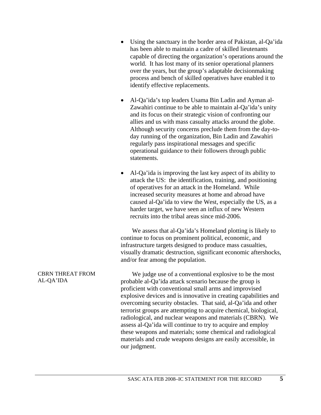- Using the sanctuary in the border area of Pakistan, al-Qa'ida has been able to maintain a cadre of skilled lieutenants capable of directing the organization's operations around the world. It has lost many of its senior operational planners over the years, but the group's adaptable decisionmaking process and bench of skilled operatives have enabled it to identify effective replacements.
- Al-Qa'ida's top leaders Usama Bin Ladin and Ayman al-Zawahiri continue to be able to maintain al-Qa'ida's unity and its focus on their strategic vision of confronting our allies and us with mass casualty attacks around the globe. Although security concerns preclude them from the day-today running of the organization, Bin Ladin and Zawahiri regularly pass inspirational messages and specific operational guidance to their followers through public statements.
- Al-Qa'ida is improving the last key aspect of its ability to attack the US: the identification, training, and positioning of operatives for an attack in the Homeland. While increased security measures at home and abroad have caused al-Qa'ida to view the West, especially the US, as a harder target, we have seen an influx of new Western recruits into the tribal areas since mid-2006.

We assess that al-Qa'ida's Homeland plotting is likely to continue to focus on prominent political, economic, and infrastructure targets designed to produce mass casualties, visually dramatic destruction, significant economic aftershocks, and/or fear among the population.

CBRN THREAT FROM AL-QA'IDA We judge use of a conventional explosive to be the most probable al-Qa'ida attack scenario because the group is proficient with conventional small arms and improvised explosive devices and is innovative in creating capabilities and overcoming security obstacles. That said, al-Qa'ida and other terrorist groups are attempting to acquire chemical, biological, radiological, and nuclear weapons and materials (CBRN). We assess al-Qa'ida will continue to try to acquire and employ these weapons and materials; some chemical and radiological materials and crude weapons designs are easily accessible, in our judgment.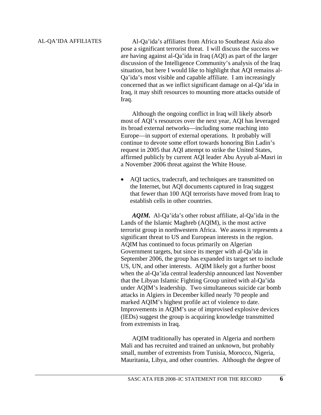AL-QA'IDA AFFILIATES Al-Qa'ida's affiliates from Africa to Southeast Asia also pose a significant terrorist threat. I will discuss the success we are having against al-Qa'ida in Iraq (AQI) as part of the larger discussion of the Intelligence Community's analysis of the Iraq situation, but here I would like to highlight that AQI remains al-Qa'ida's most visible and capable affiliate. I am increasingly concerned that as we inflict significant damage on al-Qa'ida in Iraq, it may shift resources to mounting more attacks outside of Iraq.

> Although the ongoing conflict in Iraq will likely absorb most of AQI's resources over the next year, AQI has leveraged its broad external networks—including some reaching into Europe—in support of external operations. It probably will continue to devote some effort towards honoring Bin Ladin's request in 2005 that AQI attempt to strike the United States, affirmed publicly by current AQI leader Abu Ayyub al-Masri in a November 2006 threat against the White House.

• AQI tactics, tradecraft, and techniques are transmitted on the Internet, but AQI documents captured in Iraq suggest that fewer than 100 AQI terrorists have moved from Iraq to establish cells in other countries.

*AQIM.* Al-Qa'ida's other robust affiliate, al-Qa'ida in the Lands of the Islamic Maghreb (AQIM), is the most active terrorist group in northwestern Africa. We assess it represents a significant threat to US and European interests in the region. AQIM has continued to focus primarily on Algerian Government targets, but since its merger with al-Qa'ida in September 2006, the group has expanded its target set to include US, UN, and other interests. AQIM likely got a further boost when the al-Qa'ida central leadership announced last November that the Libyan Islamic Fighting Group united with al-Qa'ida under AQIM's leadership. Two simultaneous suicide car bomb attacks in Algiers in December killed nearly 70 people and marked AQIM's highest profile act of violence to date. Improvements in AQIM's use of improvised explosive devices (IEDs) suggest the group is acquiring knowledge transmitted from extremists in Iraq.

AQIM traditionally has operated in Algeria and northern Mali and has recruited and trained an unknown, but probably small, number of extremists from Tunisia, Morocco, Nigeria, Mauritania, Libya, and other countries. Although the degree of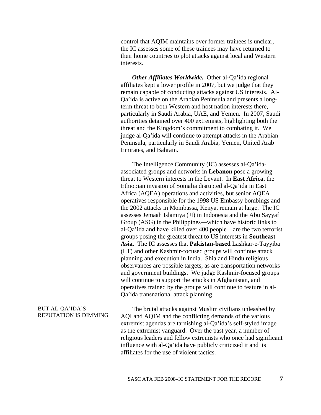control that AQIM maintains over former trainees is unclear, the IC assesses some of these trainees may have returned to their home countries to plot attacks against local and Western interests.

*Other Affiliates Worldwide.* Other al-Qa'ida regional affiliates kept a lower profile in 2007, but we judge that they remain capable of conducting attacks against US interests. Al-Qa'ida is active on the Arabian Peninsula and presents a longterm threat to both Western and host nation interests there, particularly in Saudi Arabia, UAE, and Yemen. In 2007, Saudi authorities detained over 400 extremists, highlighting both the threat and the Kingdom's commitment to combating it. We judge al-Qa'ida will continue to attempt attacks in the Arabian Peninsula, particularly in Saudi Arabia, Yemen, United Arab Emirates, and Bahrain.

The Intelligence Community (IC) assesses al-Qa'idaassociated groups and networks in **Lebanon** pose a growing threat to Western interests in the Levant. In **East Africa**, the Ethiopian invasion of Somalia disrupted al-Qa'ida in East Africa (AQEA) operations and activities, but senior AQEA operatives responsible for the 1998 US Embassy bombings and the 2002 attacks in Mombassa, Kenya, remain at large. The IC assesses Jemaah Islamiya (JI) in Indonesia and the Abu Sayyaf Group (ASG) in the Philippines—which have historic links to al-Qa'ida and have killed over 400 people—are the two terrorist groups posing the greatest threat to US interests in **Southeast Asia**. The IC assesses that **Pakistan-based** Lashkar-e-Tayyiba (LT) and other Kashmir-focused groups will continue attack planning and execution in India. Shia and Hindu religious observances are possible targets, as are transportation networks and government buildings. We judge Kashmir-focused groups will continue to support the attacks in Afghanistan, and operatives trained by the groups will continue to feature in al-Qa'ida transnational attack planning.

### BUT AL-QA'IDA'S REPUTATION IS DIMMING

The brutal attacks against Muslim civilians unleashed by AQI and AQIM and the conflicting demands of the various extremist agendas are tarnishing al-Qa'ida's self-styled image as the extremist vanguard. Over the past year, a number of religious leaders and fellow extremists who once had significant influence with al-Qa'ida have publicly criticized it and its affiliates for the use of violent tactics.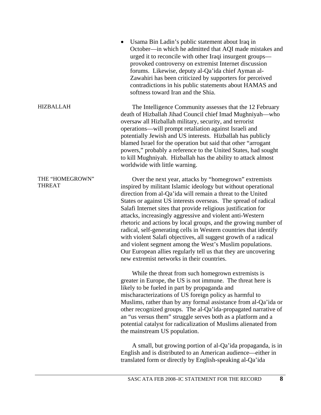• Usama Bin Ladin's public statement about Iraq in October—in which he admitted that AQI made mistakes and urged it to reconcile with other Iraqi insurgent groups provoked controversy on extremist Internet discussion forums. Likewise, deputy al-Qa'ida chief Ayman al-Zawahiri has been criticized by supporters for perceived contradictions in his public statements about HAMAS and softness toward Iran and the Shia.

HIZBALLAH The Intelligence Community assesses that the 12 February death of Hizballah Jihad Council chief Imad Mughniyah—who oversaw all Hizballah military, security, and terrorist operations—will prompt retaliation against Israeli and potentially Jewish and US interests. Hizballah has publicly blamed Israel for the operation but said that other "arrogant powers," probably a reference to the United States, had sought to kill Mughniyah. Hizballah has the ability to attack almost worldwide with little warning.

> Over the next year, attacks by "homegrown" extremists inspired by militant Islamic ideology but without operational direction from al-Qa'ida will remain a threat to the United States or against US interests overseas. The spread of radical Salafi Internet sites that provide religious justification for attacks, increasingly aggressive and violent anti-Western rhetoric and actions by local groups*,* and the growing number of radical, self-generating cells in Western countries that identify with violent Salafi objectives, all suggest growth of a radical and violent segment among the West's Muslim populations. Our European allies regularly tell us that they are uncovering new extremist networks in their countries.

> While the threat from such homegrown extremists is greater in Europe, the US is not immune. The threat here is likely to be fueled in part by propaganda and mischaracterizations of US foreign policy as harmful to Muslims, rather than by any formal assistance from al-Qa'ida or other recognized groups. The al-Qa'ida-propagated narrative of an "us versus them" struggle serves both as a platform and a potential catalyst for radicalization of Muslims alienated from the mainstream US population.

> A small, but growing portion of al-Qa'ida propaganda, is in English and is distributed to an American audience—either in translated form or directly by English-speaking al-Qa'ida

### THE "HOMEGROWN" THREAT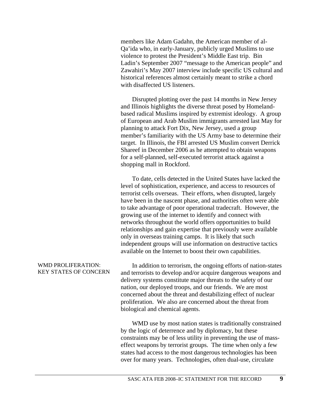members like Adam Gadahn, the American member of al-Qa'ida who, in early-January, publicly urged Muslims to use violence to protest the President's Middle East trip. Bin Ladin's September 2007 "message to the American people" and Zawahiri's May 2007 interview include specific US cultural and historical references almost certainly meant to strike a chord with disaffected US listeners.

Disrupted plotting over the past 14 months in New Jersey and Illinois highlights the diverse threat posed by Homelandbased radical Muslims inspired by extremist ideology. A group of European and Arab Muslim immigrants arrested last May for planning to attack Fort Dix, New Jersey, used a group member's familiarity with the US Army base to determine their target. In Illinois, the FBI arrested US Muslim convert Derrick Shareef in December 2006 as he attempted to obtain weapons for a self-planned, self-executed terrorist attack against a shopping mall in Rockford.

To date, cells detected in the United States have lacked the level of sophistication, experience, and access to resources of terrorist cells overseas. Their efforts, when disrupted, largely have been in the nascent phase, and authorities often were able to take advantage of poor operational tradecraft. However, the growing use of the internet to identify and connect with networks throughout the world offers opportunities to build relationships and gain expertise that previously were available only in overseas training camps. It is likely that such independent groups will use information on destructive tactics available on the Internet to boost their own capabilities.

### WMD PROLIFERATION: KEY STATES OF CONCERN

In addition to terrorism, the ongoing efforts of nation-states and terrorists to develop and/or acquire dangerous weapons and delivery systems constitute major threats to the safety of our nation, our deployed troops, and our friends. We are most concerned about the threat and destabilizing effect of nuclear proliferation. We also are concerned about the threat from biological and chemical agents.

WMD use by most nation states is traditionally constrained by the logic of deterrence and by diplomacy, but these constraints may be of less utility in preventing the use of masseffect weapons by terrorist groups. The time when only a few states had access to the most dangerous technologies has been over for many years. Technologies, often dual-use, circulate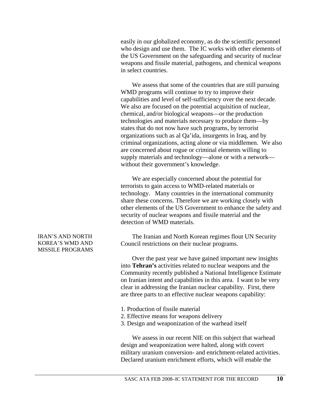easily in our globalized economy, as do the scientific personnel who design and use them.The IC works with other elements of the US Government on the safeguarding and security of nuclear weapons and fissile material, pathogens, and chemical weapons in select countries.

We assess that some of the countries that are still pursuing WMD programs will continue to try to improve their capabilities and level of self-sufficiency over the next decade. We also are focused on the potential acquisition of nuclear, chemical, and/or biological weapons—or the production technologies and materials necessary to produce them—by states that do not now have such programs, by terrorist organizations such as al Qa'ida, insurgents in Iraq, and by criminal organizations, acting alone or via middlemen. We also are concerned about rogue or criminal elements willing to supply materials and technology—alone or with a network without their government's knowledge.

We are especially concerned about the potential for terrorists to gain access to WMD-related materials or technology. Many countries in the international community share these concerns. Therefore we are working closely with other elements of the US Government to enhance the safety and security of nuclear weapons and fissile material and the detection of WMD materials.

The Iranian and North Korean regimes flout UN Security Council restrictions on their nuclear programs.

Over the past year we have gained important new insights into **Tehran's** activities related to nuclear weapons and the Community recently published a National Intelligence Estimate on Iranian intent and capabilities in this area. I want to be very clear in addressing the Iranian nuclear capability. First, there are three parts to an effective nuclear weapons capability:

- 1. Production of fissile material
- 2. Effective means for weapons delivery
- 3. Design and weaponization of the warhead itself

We assess in our recent NIE on this subject that warhead design and weaponization were halted, along with covert military uranium conversion- and enrichment-related activities. Declared uranium enrichment efforts, which will enable the

### IRAN'S AND NORTH KOREA'S WMD AND MISSILE PROGRAMS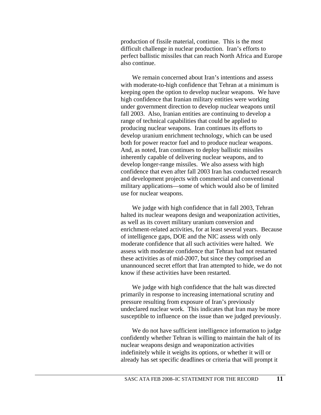production of fissile material, continue. This is the most difficult challenge in nuclear production. Iran's efforts to perfect ballistic missiles that can reach North Africa and Europe also continue.

We remain concerned about Iran's intentions and assess with moderate-to-high confidence that Tehran at a minimum is keeping open the option to develop nuclear weapons. We have high confidence that Iranian military entities were working under government direction to develop nuclear weapons until fall 2003. Also, Iranian entities are continuing to develop a range of technical capabilities that could be applied to producing nuclear weapons. Iran continues its efforts to develop uranium enrichment technology, which can be used both for power reactor fuel and to produce nuclear weapons. And, as noted, Iran continues to deploy ballistic missiles inherently capable of delivering nuclear weapons, and to develop longer-range missiles. We also assess with high confidence that even after fall 2003 Iran has conducted research and development projects with commercial and conventional military applications—some of which would also be of limited use for nuclear weapons.

We judge with high confidence that in fall 2003, Tehran halted its nuclear weapons design and weaponization activities, as well as its covert military uranium conversion and enrichment-related activities, for at least several years. Because of intelligence gaps, DOE and the NIC assess with only moderate confidence that all such activities were halted. We assess with moderate confidence that Tehran had not restarted these activities as of mid-2007, but since they comprised an unannounced secret effort that Iran attempted to hide, we do not know if these activities have been restarted.

We judge with high confidence that the halt was directed primarily in response to increasing international scrutiny and pressure resulting from exposure of Iran's previously undeclared nuclear work. This indicates that Iran may be more susceptible to influence on the issue than we judged previously.

We do not have sufficient intelligence information to judge confidently whether Tehran is willing to maintain the halt of its nuclear weapons design and weaponization activities indefinitely while it weighs its options, or whether it will or already has set specific deadlines or criteria that will prompt it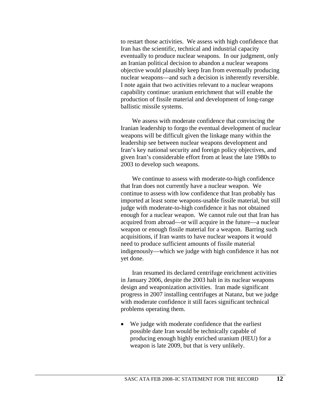to restart those activities. We assess with high confidence that Iran has the scientific, technical and industrial capacity eventually to produce nuclear weapons. In our judgment, only an Iranian political decision to abandon a nuclear weapons objective would plausibly keep Iran from eventually producing nuclear weapons—and such a decision is inherently reversible. I note again that two activities relevant to a nuclear weapons capability continue: uranium enrichment that will enable the production of fissile material and development of long-range ballistic missile systems.

We assess with moderate confidence that convincing the Iranian leadership to forgo the eventual development of nuclear weapons will be difficult given the linkage many within the leadership see between nuclear weapons development and Iran's key national security and foreign policy objectives, and given Iran's considerable effort from at least the late 1980s to 2003 to develop such weapons.

We continue to assess with moderate-to-high confidence that Iran does not currently have a nuclear weapon. We continue to assess with low confidence that Iran probably has imported at least some weapons-usable fissile material, but still judge with moderate-to-high confidence it has not obtained enough for a nuclear weapon. We cannot rule out that Iran has acquired from abroad—or will acquire in the future—a nuclear weapon or enough fissile material for a weapon. Barring such acquisitions, if Iran wants to have nuclear weapons it would need to produce sufficient amounts of fissile material indigenously—which we judge with high confidence it has not yet done.

Iran resumed its declared centrifuge enrichment activities in January 2006, despite the 2003 halt in its nuclear weapons design and weaponization activities. Iran made significant progress in 2007 installing centrifuges at Natanz, but we judge with moderate confidence it still faces significant technical problems operating them.

• We judge with moderate confidence that the earliest possible date Iran would be technically capable of producing enough highly enriched uranium (HEU) for a weapon is late 2009, but that is very unlikely.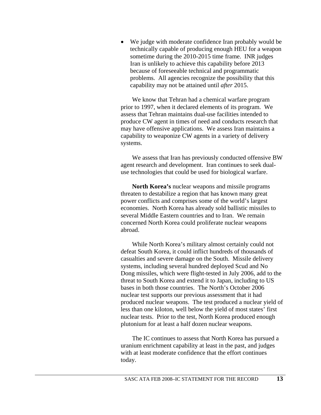• We judge with moderate confidence Iran probably would be technically capable of producing enough HEU for a weapon sometime during the 2010-2015 time frame. INR judges Iran is unlikely to achieve this capability before 2013 because of foreseeable technical and programmatic problems. All agencies recognize the possibility that this capability may not be attained until *after* 2015.

We know that Tehran had a chemical warfare program prior to 1997, when it declared elements of its program. We assess that Tehran maintains dual-use facilities intended to produce CW agent in times of need and conducts research that may have offensive applications. We assess Iran maintains a capability to weaponize CW agents in a variety of delivery systems.

We assess that Iran has previously conducted offensive BW agent research and development. Iran continues to seek dualuse technologies that could be used for biological warfare.

**North Korea's** nuclear weapons and missile programs threaten to destabilize a region that has known many great power conflicts and comprises some of the world's largest economies. North Korea has already sold ballistic missiles to several Middle Eastern countries and to Iran. We remain concerned North Korea could proliferate nuclear weapons abroad.

While North Korea's military almost certainly could not defeat South Korea, it could inflict hundreds of thousands of casualties and severe damage on the South. Missile delivery systems, including several hundred deployed Scud and No Dong missiles, which were flight-tested in July 2006, add to the threat to South Korea and extend it to Japan, including to US bases in both those countries. The North's October 2006 nuclear test supports our previous assessment that it had produced nuclear weapons. The test produced a nuclear yield of less than one kiloton, well below the yield of most states' first nuclear tests.Prior to the test, North Korea produced enough plutonium for at least a half dozen nuclear weapons.

The IC continues to assess that North Korea has pursued a uranium enrichment capability at least in the past, and judges with at least moderate confidence that the effort continues today.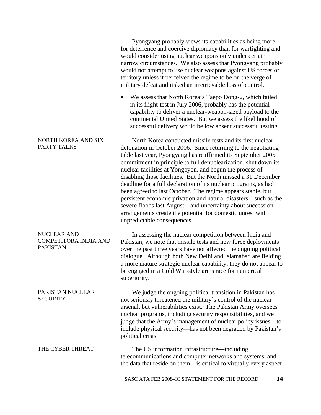|                                                                | for deterrence and coercive diplomacy than for warfighting and<br>would consider using nuclear weapons only under certain<br>narrow circumstances. We also assess that Pyongyang probably<br>would not attempt to use nuclear weapons against US forces or<br>territory unless it perceived the regime to be on the verge of<br>military defeat and risked an irretrievable loss of control.                                                                                                                                                                                                                                                                                                                                                                 |
|----------------------------------------------------------------|--------------------------------------------------------------------------------------------------------------------------------------------------------------------------------------------------------------------------------------------------------------------------------------------------------------------------------------------------------------------------------------------------------------------------------------------------------------------------------------------------------------------------------------------------------------------------------------------------------------------------------------------------------------------------------------------------------------------------------------------------------------|
|                                                                | We assess that North Korea's Taepo Dong-2, which failed<br>in its flight-test in July 2006, probably has the potential<br>capability to deliver a nuclear-weapon-sized payload to the<br>continental United States. But we assess the likelihood of<br>successful delivery would be low absent successful testing.                                                                                                                                                                                                                                                                                                                                                                                                                                           |
| NORTH KOREA AND SIX<br>PARTY TALKS                             | North Korea conducted missile tests and its first nuclear<br>detonation in October 2006. Since returning to the negotiating<br>table last year, Pyongyang has reaffirmed its September 2005<br>commitment in principle to full denuclearization, shut down its<br>nuclear facilities at Yongbyon, and begun the process of<br>disabling those facilities. But the North missed a 31 December<br>deadline for a full declaration of its nuclear programs, as had<br>been agreed to last October. The regime appears stable, but<br>persistent economic privation and natural disasters—such as the<br>severe floods last August-and uncertainty about succession<br>arrangements create the potential for domestic unrest with<br>unpredictable consequences. |
| <b>NUCLEAR AND</b><br>COMPETITORA INDIA AND<br><b>PAKISTAN</b> | In assessing the nuclear competition between India and<br>Pakistan, we note that missile tests and new force deployments<br>over the past three years have not affected the ongoing political<br>dialogue. Although both New Delhi and Islamabad are fielding<br>a more mature strategic nuclear capability, they do not appear to<br>be engaged in a Cold War-style arms race for numerical<br>superiority.                                                                                                                                                                                                                                                                                                                                                 |
| PAKISTAN NUCLEAR<br><b>SECURITY</b>                            | We judge the ongoing political transition in Pakistan has<br>not seriously threatened the military's control of the nuclear<br>arsenal, but vulnerabilities exist. The Pakistan Army oversees<br>nuclear programs, including security responsibilities, and we<br>judge that the Army's management of nuclear policy issues-to<br>include physical security-has not been degraded by Pakistan's<br>political crisis.                                                                                                                                                                                                                                                                                                                                         |
| THE CYBER THREAT                                               | The US information infrastructure—including<br>telecommunications and computer networks and systems, and<br>the data that reside on them-is critical to virtually every aspect                                                                                                                                                                                                                                                                                                                                                                                                                                                                                                                                                                               |

Pyongyang probably views its capabilities as being more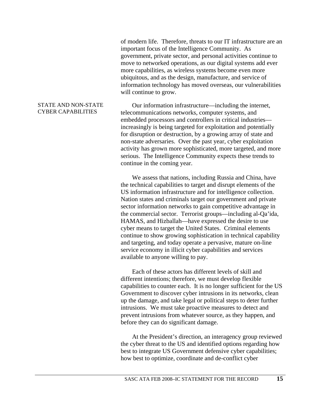of modern life. Therefore, threats to our IT infrastructure are an important focus of the Intelligence Community. As government, private sector, and personal activities continue to move to networked operations, as our digital systems add ever more capabilities, as wireless systems become even more ubiquitous, and as the design, manufacture, and service of information technology has moved overseas, our vulnerabilities will continue to grow.

### STATE AND NON-STATE CYBER CAPABILITIES

Our information infrastructure—including the internet, telecommunications networks, computer systems, and embedded processors and controllers in critical industries increasingly is being targeted for exploitation and potentially for disruption or destruction, by a growing array of state and non-state adversaries. Over the past year, cyber exploitation activity has grown more sophisticated, more targeted, and more serious. The Intelligence Community expects these trends to continue in the coming year.

We assess that nations, including Russia and China, have the technical capabilities to target and disrupt elements of the US information infrastructure and for intelligence collection. Nation states and criminals target our government and private sector information networks to gain competitive advantage in the commercial sector. Terrorist groups—including al-Qa'ida, HAMAS, and Hizballah—have expressed the desire to use cyber means to target the United States. Criminal elements continue to show growing sophistication in technical capability and targeting, and today operate a pervasive, mature on-line service economy in illicit cyber capabilities and services available to anyone willing to pay.

Each of these actors has different levels of skill and different intentions; therefore, we must develop flexible capabilities to counter each. It is no longer sufficient for the US Government to discover cyber intrusions in its networks, clean up the damage, and take legal or political steps to deter further intrusions. We must take proactive measures to detect and prevent intrusions from whatever source, as they happen, and before they can do significant damage.

At the President's direction, an interagency group reviewed the cyber threat to the US and identified options regarding how best to integrate US Government defensive cyber capabilities; how best to optimize, coordinate and de-conflict cyber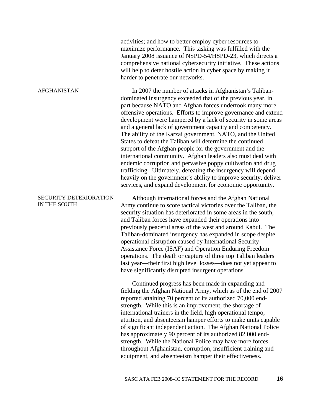activities; and how to better employ cyber resources to maximize performance. This tasking was fulfilled with the January 2008 issuance of NSPD-54/HSPD-23, which directs a comprehensive national cybersecurity initiative. These actions will help to deter hostile action in cyber space by making it harder to penetrate our networks.

AFGHANISTAN In 2007 the number of attacks in Afghanistan's Talibandominated insurgency exceeded that of the previous year, in part because NATO and Afghan forces undertook many more offensive operations. Efforts to improve governance and extend development were hampered by a lack of security in some areas and a general lack of government capacity and competency. The ability of the Karzai government, NATO, and the United States to defeat the Taliban will determine the continued support of the Afghan people for the government and the international community. Afghan leaders also must deal with endemic corruption and pervasive poppy cultivation and drug trafficking. Ultimately, defeating the insurgency will depend heavily on the government's ability to improve security, deliver services, and expand development for economic opportunity.

### SECURITY DETERIORATION IN THE SOUTH

Although international forces and the Afghan National Army continue to score tactical victories over the Taliban, the security situation has deteriorated in some areas in the south, and Taliban forces have expanded their operations into previously peaceful areas of the west and around Kabul. The Taliban-dominated insurgency has expanded in scope despite operational disruption caused by International Security Assistance Force (ISAF) and Operation Enduring Freedom operations. The death or capture of three top Taliban leaders last year—their first high level losses—does not yet appear to have significantly disrupted insurgent operations.

Continued progress has been made in expanding and fielding the Afghan National Army, which as of the end of 2007 reported attaining 70 percent of its authorized 70,000 endstrength. While this is an improvement, the shortage of international trainers in the field, high operational tempo, attrition, and absenteeism hamper efforts to make units capable of significant independent action. The Afghan National Police has approximately 90 percent of its authorized 82,000 endstrength. While the National Police may have more forces throughout Afghanistan, corruption, insufficient training and equipment, and absenteeism hamper their effectiveness.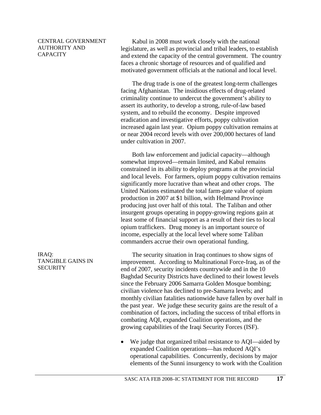### CENTRAL GOVERNMENT AUTHORITY AND **CAPACITY**

IRAQ: TANGIBLE GAINS IN **SECURITY** 

Kabul in 2008 must work closely with the national legislature, as well as provincial and tribal leaders, to establish and extend the capacity of the central government. The country faces a chronic shortage of resources and of qualified and motivated government officials at the national and local level.

The drug trade is one of the greatest long-term challenges facing Afghanistan. The insidious effects of drug-related criminality continue to undercut the government's ability to assert its authority, to develop a strong, rule-of-law based system, and to rebuild the economy. Despite improved eradication and investigative efforts, poppy cultivation increased again last year. Opium poppy cultivation remains at or near 2004 record levels with over 200,000 hectares of land under cultivation in 2007.

Both law enforcement and judicial capacity—although somewhat improved—remain limited, and Kabul remains constrained in its ability to deploy programs at the provincial and local levels. For farmers, opium poppy cultivation remains significantly more lucrative than wheat and other crops. The United Nations estimated the total farm-gate value of opium production in 2007 at \$1 billion, with Helmand Province producing just over half of this total. The Taliban and other insurgent groups operating in poppy-growing regions gain at least some of financial support as a result of their ties to local opium traffickers. Drug money is an important source of income, especially at the local level where some Taliban commanders accrue their own operational funding.

The security situation in Iraq continues to show signs of improvement. According to Multinational Force-Iraq, as of the end of 2007, security incidents countrywide and in the 10 Baghdad Security Districts have declined to their lowest levels since the February 2006 Samarra Golden Mosque bombing; civilian violence has declined to pre-Samarra levels; and monthly civilian fatalities nationwide have fallen by over half in the past year. We judge these security gains are the result of a combination of factors, including the success of tribal efforts in combating AQI, expanded Coalition operations, and the growing capabilities of the Iraqi Security Forces (ISF).

• We judge that organized tribal resistance to AQI—aided by expanded Coalition operations––has reduced AQI's operational capabilities. Concurrently, decisions by major elements of the Sunni insurgency to work with the Coalition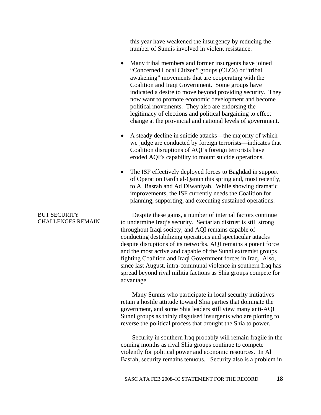this year have weakened the insurgency by reducing the number of Sunnis involved in violent resistance.

- Many tribal members and former insurgents have joined "Concerned Local Citizen" groups (CLCs) or "tribal awakening" movements that are cooperating with the Coalition and Iraqi Government. Some groups have indicated a desire to move beyond providing security. They now want to promote economic development and become political movements. They also are endorsing the legitimacy of elections and political bargaining to effect change at the provincial and national levels of government.
- A steady decline in suicide attacks—the majority of which we judge are conducted by foreign terrorists—indicates that Coalition disruptions of AQI's foreign terrorists have eroded AQI's capability to mount suicide operations.
- The ISF effectively deployed forces to Baghdad in support of Operation Fardh al-Qanun this spring and, most recently, to Al Basrah and Ad Diwaniyah. While showing dramatic improvements, the ISF currently needs the Coalition for planning, supporting, and executing sustained operations.

Despite these gains, a number of internal factors continue to undermine Iraq's security. Sectarian distrust is still strong throughout Iraqi society, and AQI remains capable of conducting destabilizing operations and spectacular attacks despite disruptions of its networks. AQI remains a potent force and the most active and capable of the Sunni extremist groups fighting Coalition and Iraqi Government forces in Iraq. Also, since last August, intra-communal violence in southern Iraq has spread beyond rival militia factions as Shia groups compete for advantage.

Many Sunnis who participate in local security initiatives retain a hostile attitude toward Shia parties that dominate the government, and some Shia leaders still view many anti-AQI Sunni groups as thinly disguised insurgents who are plotting to reverse the political process that brought the Shia to power.

Security in southern Iraq probably will remain fragile in the coming months as rival Shia groups continue to compete violently for political power and economic resources. In Al Basrah, security remains tenuous. Security also is a problem in

### BUT SECURITY CHALLENGES REMAIN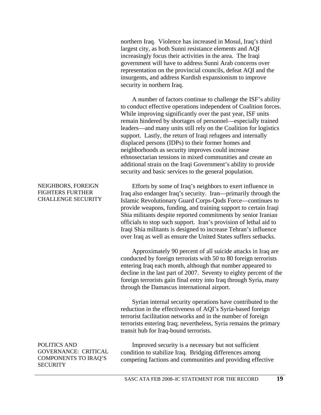northern Iraq. Violence has increased in Mosul, Iraq's third largest city, as both Sunni resistance elements and AQI increasingly focus their activities in the area. The Iraqi government will have to address Sunni Arab concerns over representation on the provincial councils, defeat AQI and the insurgents, and address Kurdish expansionism to improve security in northern Iraq.

A number of factors continue to challenge the ISF's ability to conduct effective operations independent of Coalition forces. While improving significantly over the past year, ISF units remain hindered by shortages of personnel––especially trained leaders––and many units still rely on the Coalition for logistics support. Lastly, the return of Iraqi refugees and internally displaced persons (IDPs) to their former homes and neighborhoods as security improves could increase ethnosectarian tensions in mixed communities and create an additional strain on the Iraqi Government's ability to provide security and basic services to the general population.

Efforts by some of Iraq's neighbors to exert influence in Iraq also endanger Iraq's security. Iran––primarily through the Islamic Revolutionary Guard Corps-Qods Force––continues to provide weapons, funding, and training support to certain Iraqi Shia militants despite reported commitments by senior Iranian officials to stop such support. Iran's provision of lethal aid to Iraqi Shia militants is designed to increase Tehran's influence over Iraq as well as ensure the United States suffers setbacks.

Approximately 90 percent of all suicide attacks in Iraq are conducted by foreign terrorists with 50 to 80 foreign terrorists entering Iraq each month, although that number appeared to decline in the last part of 2007. Seventy to eighty percent of the foreign terrorists gain final entry into Iraq through Syria, many through the Damascus international airport.

Syrian internal security operations have contributed to the reduction in the effectiveness of AQI's Syria-based foreign terrorist facilitation networks and in the number of foreign terrorists entering Iraq; nevertheless, Syria remains the primary transit hub for Iraq-bound terrorists.

POLITICS AND GOVERNANCE: CRITICAL COMPONENTS TO IRAQ'S **SECURITY** 

Improved security is a necessary but not sufficient condition to stabilize Iraq. Bridging differences among competing factions and communities and providing effective

### NEIGHBORS, FOREIGN FIGHTERS FURTHER CHALLENGE SECURITY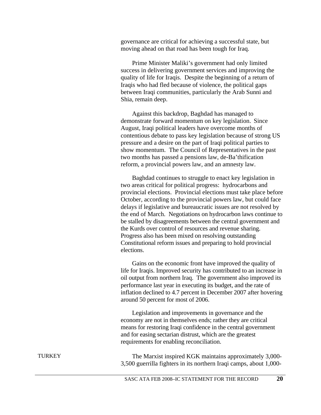governance are critical for achieving a successful state, but moving ahead on that road has been tough for Iraq.

Prime Minister Maliki's government had only limited success in delivering government services and improving the quality of life for Iraqis. Despite the beginning of a return of Iraqis who had fled because of violence, the political gaps between Iraqi communities, particularly the Arab Sunni and Shia, remain deep.

Against this backdrop, Baghdad has managed to demonstrate forward momentum on key legislation. Since August, Iraqi political leaders have overcome months of contentious debate to pass key legislation because of strong US pressure and a desire on the part of Iraqi political parties to show momentum. The Council of Representatives in the past two months has passed a pensions law, de-Ba'thification reform, a provincial powers law, and an amnesty law.

Baghdad continues to struggle to enact key legislation in two areas critical for political progress: hydrocarbons and provincial elections. Provincial elections must take place before October, according to the provincial powers law, but could face delays if legislative and bureaucratic issues are not resolved by the end of March.Negotiations on hydrocarbon laws continue to be stalled by disagreements between the central government and the Kurds over control of resources and revenue sharing. Progress also has been mixed on resolving outstanding Constitutional reform issues and preparing to hold provincial elections.

Gains on the economic front have improved the quality of life for Iraqis. Improved security has contributed to an increase in oil output from northern Iraq. The government also improved its performance last year in executing its budget, and the rate of inflation declined to 4.7 percent in December 2007 after hovering around 50 percent for most of 2006.

Legislation and improvements in governance and the economy are not in themselves ends; rather they are critical means for restoring Iraqi confidence in the central government and for easing sectarian distrust, which are the greatest requirements for enabling reconciliation.

TURKEY THE Marxist inspired KGK maintains approximately 3,000-3,500 guerrilla fighters in its northern Iraqi camps, about 1,000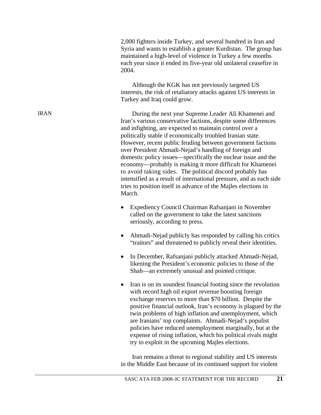2,000 fighters inside Turkey, and several hundred in Iran and Syria and wants to establish a greater Kurdistan. The group has maintained a high-level of violence in Turkey a few months each year since it ended its five-year old unilateral ceasefire in 2004.

Although the KGK has not previously targeted US interests, the risk of retaliatory attacks against US interests in Turkey and Iraq could grow.

IRAN During the next year Supreme Leader Ali Khamenei and Iran's various conservative factions, despite some differences and infighting, are expected to maintain control over a politically stable if economically troubled Iranian state. However, recent public feuding between government factions over President Ahmadi-Nejad's handling of foreign and domestic policy issues—specifically the nuclear issue and the economy—probably is making it more difficult for Khamenei to avoid taking sides. The political discord probably has intensified as a result of international pressure, and as each side tries to position itself in advance of the Majles elections in March.

- Expediency Council Chairman Rafsanjani in November called on the government to take the latest sanctions seriously, according to press.
- Ahmadi-Nejad publicly has responded by calling his critics "traitors" and threatened to publicly reveal their identities.
- In December, Rafsanjani publicly attacked Ahmadi-Nejad, likening the President's economic policies to those of the Shah—an extremely unusual and pointed critique.
- Iran is on its soundest financial footing since the revolution with record high oil export revenue boosting foreign exchange reserves to more than \$70 billion. Despite the positive financial outlook, Iran's economy is plagued by the twin problems of high inflation and unemployment, which are Iranians' top complaints. Ahmadi-Nejad's populist policies have reduced unemployment marginally, but at the expense of rising inflation, which his political rivals might try to exploit in the upcoming Majles elections.

Iran remains a threat to regional stability and US interests in the Middle East because of its continued support for violent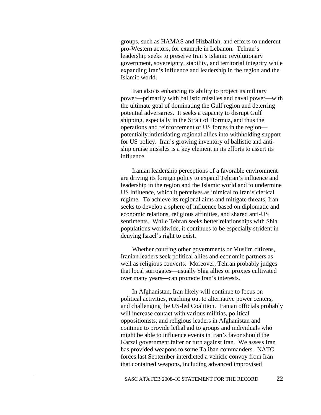groups, such as HAMAS and Hizballah, and efforts to undercut pro-Western actors, for example in Lebanon. Tehran's leadership seeks to preserve Iran's Islamic revolutionary government, sovereignty, stability, and territorial integrity while expanding Iran's influence and leadership in the region and the Islamic world.

Iran also is enhancing its ability to project its military power—primarily with ballistic missiles and naval power—with the ultimate goal of dominating the Gulf region and deterring potential adversaries. It seeks a capacity to disrupt Gulf shipping, especially in the Strait of Hormuz, and thus the operations and reinforcement of US forces in the region potentially intimidating regional allies into withholding support for US policy. Iran's growing inventory of ballistic and antiship cruise missiles is a key element in its efforts to assert its influence.

Iranian leadership perceptions of a favorable environment are driving its foreign policy to expand Tehran's influence and leadership in the region and the Islamic world and to undermine US influence, which it perceives as inimical to Iran's clerical regime. To achieve its regional aims and mitigate threats, Iran seeks to develop a sphere of influence based on diplomatic and economic relations, religious affinities, and shared anti-US sentiments. While Tehran seeks better relationships with Shia populations worldwide, it continues to be especially strident in denying Israel's right to exist.

Whether courting other governments or Muslim citizens, Iranian leaders seek political allies and economic partners as well as religious converts. Moreover, Tehran probably judges that local surrogates—usually Shia allies or proxies cultivated over many years—can promote Iran's interests.

In Afghanistan, Iran likely will continue to focus on political activities, reaching out to alternative power centers, and challenging the US-led Coalition. Iranian officials probably will increase contact with various militias, political oppositionists, and religious leaders in Afghanistan and continue to provide lethal aid to groups and individuals who might be able to influence events in Iran's favor should the Karzai government falter or turn against Iran. We assess Iran has provided weapons to some Taliban commanders. NATO forces last September interdicted a vehicle convoy from Iran that contained weapons, including advanced improvised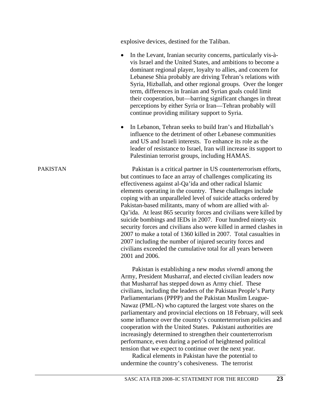explosive devices, destined for the Taliban.

- In the Levant, Iranian security concerns, particularly vis-àvis Israel and the United States, and ambitions to become a dominant regional player, loyalty to allies, and concern for Lebanese Shia probably are driving Tehran's relations with Syria, Hizballah, and other regional groups. Over the longer term, differences in Iranian and Syrian goals could limit their cooperation, but—barring significant changes in threat perceptions by either Syria or Iran—Tehran probably will continue providing military support to Syria.
- In Lebanon, Tehran seeks to build Iran's and Hizballah's influence to the detriment of other Lebanese communities and US and Israeli interests. To enhance its role as the leader of resistance to Israel, Iran will increase its support to Palestinian terrorist groups, including HAMAS.

PAKISTAN Pakistan is a critical partner in US counterterrorism efforts, but continues to face an array of challenges complicating its effectiveness against al-Qa'ida and other radical Islamic elements operating in the country. These challenges include coping with an unparalleled level of suicide attacks ordered by Pakistan-based militants, many of whom are allied with al-Qa'ida. At least 865 security forces and civilians were killed by suicide bombings and IEDs in 2007. Four hundred ninety-six security forces and civilians also were killed in armed clashes in 2007 to make a total of 1360 killed in 2007. Total casualties in 2007 including the number of injured security forces and civilians exceeded the cumulative total for all years between 2001 and 2006.

> Pakistan is establishing a new *modus vivendi* among the Army, President Musharraf, and elected civilian leaders now that Musharraf has stepped down as Army chief. These civilians, including the leaders of the Pakistan People's Party Parliamentarians (PPPP) and the Pakistan Muslim League-Nawaz (PML-N) who captured the largest vote shares on the parliamentary and provincial elections on 18 February, will seek some influence over the country's counterterrorism policies and cooperation with the United States. Pakistani authorities are increasingly determined to strengthen their counterterrorism performance, even during a period of heightened political tension that we expect to continue over the next year.

Radical elements in Pakistan have the potential to undermine the country's cohesiveness. The terrorist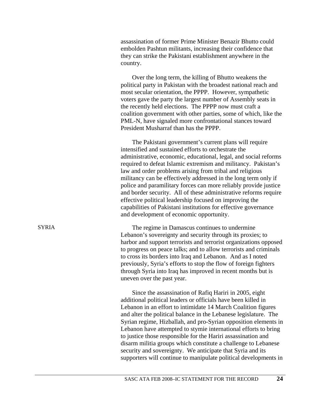assassination of former Prime Minister Benazir Bhutto could embolden Pashtun militants, increasing their confidence that they can strike the Pakistani establishment anywhere in the country.

Over the long term, the killing of Bhutto weakens the political party in Pakistan with the broadest national reach and most secular orientation, the PPPP. However, sympathetic voters gave the party the largest number of Assembly seats in the recently held elections. The PPPP now must craft a coalition government with other parties, some of which, like the PML-N, have signaled more confrontational stances toward President Musharraf than has the PPPP.

The Pakistani government's current plans will require intensified and sustained efforts to orchestrate the administrative, economic, educational, legal, and social reforms required to defeat Islamic extremism and militancy. Pakistan's law and order problems arising from tribal and religious militancy can be effectively addressed in the long term only if police and paramilitary forces can more reliably provide justice and border security. All of these administrative reforms require effective political leadership focused on improving the capabilities of Pakistani institutions for effective governance and development of economic opportunity.

SYRIA The regime in Damascus continues to undermine Lebanon's sovereignty and security through its proxies; to harbor and support terrorists and terrorist organizations opposed to progress on peace talks; and to allow terrorists and criminals to cross its borders into Iraq and Lebanon. And as I noted previously, Syria's efforts to stop the flow of foreign fighters through Syria into Iraq has improved in recent months but is uneven over the past year.

> Since the assassination of Rafiq Hariri in 2005, eight additional political leaders or officials have been killed in Lebanon in an effort to intimidate 14 March Coalition figures and alter the political balance in the Lebanese legislature. The Syrian regime, Hizballah, and pro-Syrian opposition elements in Lebanon have attempted to stymie international efforts to bring to justice those responsible for the Hariri assassination and disarm militia groups which constitute a challenge to Lebanese security and sovereignty. We anticipate that Syria and its supporters will continue to manipulate political developments in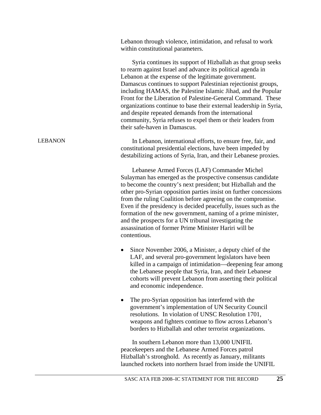Lebanon through violence, intimidation, and refusal to work within constitutional parameters.

Syria continues its support of Hizballah as that group seeks to rearm against Israel and advance its political agenda in Lebanon at the expense of the legitimate government. Damascus continues to support Palestinian rejectionist groups, including HAMAS, the Palestine Islamic Jihad, and the Popular Front for the Liberation of Palestine-General Command. These organizations continue to base their external leadership in Syria, and despite repeated demands from the international community, Syria refuses to expel them or their leaders from their safe-haven in Damascus.

LEBANON In Lebanon, international efforts, to ensure free, fair, and constitutional presidential elections, have been impeded by destabilizing actions of Syria, Iran, and their Lebanese proxies.

> Lebanese Armed Forces (LAF) Commander Michel Sulayman has emerged as the prospective consensus candidate to become the country's next president; but Hizballah and the other pro-Syrian opposition parties insist on further concessions from the ruling Coalition before agreeing on the compromise. Even if the presidency is decided peacefully, issues such as the formation of the new government, naming of a prime minister, and the prospects for a UN tribunal investigating the assassination of former Prime Minister Hariri will be contentious.

- Since November 2006, a Minister, a deputy chief of the LAF, and several pro-government legislators have been killed in a campaign of intimidation—deepening fear among the Lebanese people that Syria, Iran, and their Lebanese cohorts will prevent Lebanon from asserting their political and economic independence.
- The pro-Syrian opposition has interfered with the government's implementation of UN Security Council resolutions. In violation of UNSC Resolution 1701, weapons and fighters continue to flow across Lebanon's borders to Hizballah and other terrorist organizations.

In southern Lebanon more than 13,000 UNIFIL peacekeepers and the Lebanese Armed Forces patrol Hizballah's stronghold. As recently as January, militants launched rockets into northern Israel from inside the UNIFIL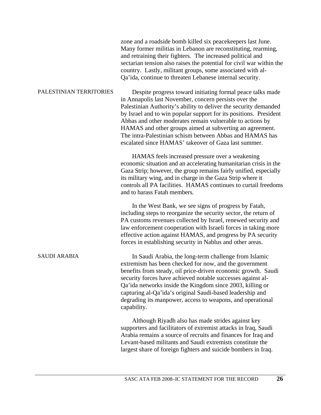zone and a roadside bomb killed six peacekeepers last June. Many former militias in Lebanon are reconstituting, rearming, and retraining their fighters. The increased political and sectarian tension also raises the potential for civil war within the country. Lastly, militant groups, some associated with al-Qa'ida, continue to threaten Lebanese internal security.

PALESTINIAN TERRITORIES Despite progress toward initiating formal peace talks made in Annapolis last November, concern persists over the Palestinian Authority's ability to deliver the security demanded by Israel and to win popular support for its positions. President Abbas and other moderates remain vulnerable to actions by HAMAS and other groups aimed at subverting an agreement. The intra-Palestinian schism between Abbas and HAMAS has escalated since HAMAS' takeover of Gaza last summer.

> HAMAS feels increased pressure over a weakening economic situation and an accelerating humanitarian crisis in the Gaza Strip; however, the group remains fairly unified, especially its military wing, and in charge in the Gaza Strip where it controls all PA facilities. HAMAS continues to curtail freedoms and to harass Fatah members.

In the West Bank, we see signs of progress by Fatah, including steps to reorganize the security sector, the return of PA customs revenues collected by Israel, renewed security and law enforcement cooperation with Israeli forces in taking more effective action against HAMAS, and progress by PA security forces in establishing security in Nablus and other areas.

SAUDI ARABIA In Saudi Arabia, the long-term challenge from Islamic extremism has been checked for now, and the government benefits from steady, oil price-driven economic growth. Saudi security forces have achieved notable successes against al-Qa'ida networks inside the Kingdom since 2003, killing or capturing al-Qa'ida's original Saudi-based leadership and degrading its manpower, access to weapons, and operational capability.

> Although Riyadh also has made strides against key supporters and facilitators of extremist attacks in Iraq, Saudi Arabia remains a source of recruits and finances for Iraq and Levant-based militants and Saudi extremists constitute the largest share of foreign fighters and suicide bombers in Iraq.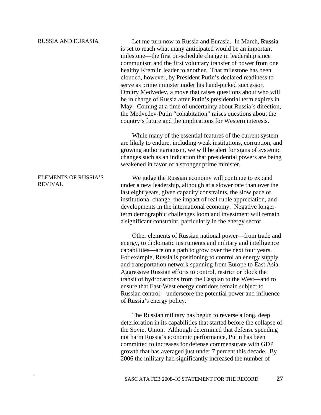### ELEMENTS OF RUSSIA'S REVIVAL

RUSSIA AND EURASIA Let me turn now to Russia and Eurasia. In March, **Russia** is set to reach what many anticipated would be an important milestone—the first on-schedule change in leadership since communism and the first voluntary transfer of power from one healthy Kremlin leader to another. That milestone has been clouded, however, by President Putin's declared readiness to serve as prime minister under his hand-picked successor, Dmitry Medvedev, a move that raises questions about who will be in charge of Russia after Putin's presidential term expires in May. Coming at a time of uncertainty about Russia's direction, the Medvedev-Putin "cohabitation" raises questions about the country's future and the implications for Western interests.

> While many of the essential features of the current system are likely to endure, including weak institutions, corruption, and growing authoritarianism, we will be alert for signs of systemic changes such as an indication that presidential powers are being weakened in favor of a stronger prime minister.

We judge the Russian economy will continue to expand under a new leadership, although at a slower rate than over the last eight years, given capacity constraints, the slow pace of institutional change, the impact of real ruble appreciation, and developments in the international economy. Negative longerterm demographic challenges loom and investment will remain a significant constraint, particularly in the energy sector.

Other elements of Russian national power—from trade and energy, to diplomatic instruments and military and intelligence capabilities—are on a path to grow over the next four years. For example, Russia is positioning to control an energy supply and transportation network spanning from Europe to East Asia. Aggressive Russian efforts to control, restrict or block the transit of hydrocarbons from the Caspian to the West—and to ensure that East-West energy corridors remain subject to Russian control—underscore the potential power and influence of Russia's energy policy.

The Russian military has begun to reverse a long, deep deterioration in its capabilities that started before the collapse of the Soviet Union. Although determined that defense spending not harm Russia's economic performance, Putin has been committed to increases for defense commensurate with GDP growth that has averaged just under 7 percent this decade. By 2006 the military had significantly increased the number of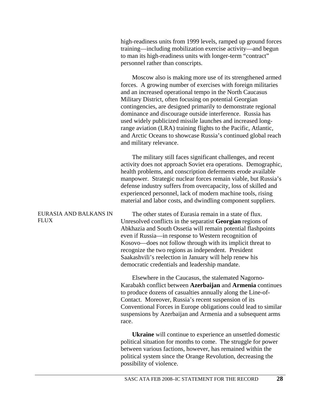high-readiness units from 1999 levels, ramped up ground forces training—including mobilization exercise activity—and begun to man its high-readiness units with longer-term "contract" personnel rather than conscripts.

Moscow also is making more use of its strengthened armed forces. A growing number of exercises with foreign militaries and an increased operational tempo in the North Caucasus Military District, often focusing on potential Georgian contingencies, are designed primarily to demonstrate regional dominance and discourage outside interference. Russia has used widely publicized missile launches and increased longrange aviation (LRA) training flights to the Pacific, Atlantic, and Arctic Oceans to showcase Russia's continued global reach and military relevance.

The military still faces significant challenges, and recent activity does not approach Soviet era operations. Demographic, health problems, and conscription deferments erode available manpower. Strategic nuclear forces remain viable, but Russia's defense industry suffers from overcapacity, loss of skilled and experienced personnel, lack of modern machine tools, rising material and labor costs, and dwindling component suppliers.

The other states of Eurasia remain in a state of flux. Unresolved conflicts in the separatist **Georgian** regions of Abkhazia and South Ossetia will remain potential flashpoints even if Russia—in response to Western recognition of Kosovo—does not follow through with its implicit threat to recognize the two regions as independent. President Saakashvili's reelection in January will help renew his democratic credentials and leadership mandate.

> Elsewhere in the Caucasus, the stalemated Nagorno-Karabakh conflict between **Azerbaijan** and **Armenia** continues to produce dozens of casualties annually along the Line-of-Contact. Moreover, Russia's recent suspension of its Conventional Forces in Europe obligations could lead to similar suspensions by Azerbaijan and Armenia and a subsequent arms race.

> **Ukraine** will continue to experience an unsettled domestic political situation for months to come. The struggle for power between various factions, however, has remained within the political system since the Orange Revolution, decreasing the possibility of violence.

### EURASIA AND BALKANS IN FLUX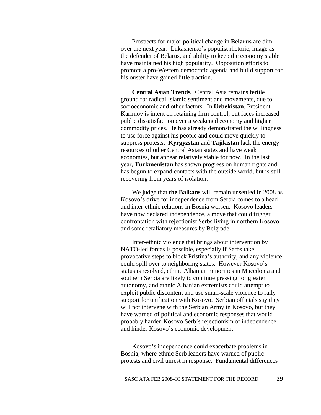Prospects for major political change in **Belarus** are dim over the next year. Lukashenko's populist rhetoric, image as the defender of Belarus, and ability to keep the economy stable have maintained his high popularity. Opposition efforts to promote a pro-Western democratic agenda and build support for his ouster have gained little traction.

**Central Asian Trends***.* Central Asia remains fertile ground for radical Islamic sentiment and movements, due to socioeconomic and other factors. In **Uzbekistan**, President Karimov is intent on retaining firm control, but faces increased public dissatisfaction over a weakened economy and higher commodity prices. He has already demonstrated the willingness to use force against his people and could move quickly to suppress protests. **Kyrgyzstan** and **Tajikistan** lack the energy resources of other Central Asian states and have weak economies, but appear relatively stable for now. In the last year, **Turkmenistan** has shown progress on human rights and has begun to expand contacts with the outside world, but is still recovering from years of isolation.

We judge that **the Balkans** will remain unsettled in 2008 as Kosovo's drive for independence from Serbia comes to a head and inter-ethnic relations in Bosnia worsen. Kosovo leaders have now declared independence, a move that could trigger confrontation with rejectionist Serbs living in northern Kosovo and some retaliatory measures by Belgrade.

Inter-ethnic violence that brings about intervention by NATO-led forces is possible, especially if Serbs take provocative steps to block Pristina's authority, and any violence could spill over to neighboring states. However Kosovo's status is resolved, ethnic Albanian minorities in Macedonia and southern Serbia are likely to continue pressing for greater autonomy, and ethnic Albanian extremists could attempt to exploit public discontent and use small-scale violence to rally support for unification with Kosovo. Serbian officials say they will not intervene with the Serbian Army in Kosovo, but they have warned of political and economic responses that would probably harden Kosovo Serb's rejectionism of independence and hinder Kosovo's economic development.

Kosovo's independence could exacerbate problems in Bosnia, where ethnic Serb leaders have warned of public protests and civil unrest in response. Fundamental differences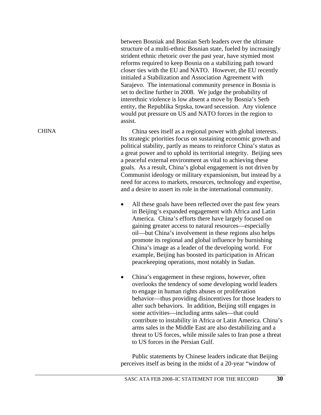between Bosniak and Bosnian Serb leaders over the ultimate structure of a multi-ethnic Bosnian state, fueled by increasingly strident ethnic rhetoric over the past year, have stymied most reforms required to keep Bosnia on a stabilizing path toward closer ties with the EU and NATO. However, the EU recently initialed a Stabilization and Association Agreement with Sarajevo. The international community presence in Bosnia is set to decline further in 2008. We judge the probability of interethnic violence is low absent a move by Bosnia's Serb entity, the Republika Srpska, toward secession. Any violence would put pressure on US and NATO forces in the region to assist.

CHINA China sees itself as a regional power with global interests. Its strategic priorities focus on sustaining economic growth and political stability, partly as means to reinforce China's status as a great power and to uphold its territorial integrity. Beijing sees a peaceful external environment as vital to achieving these goals. As a result, China's global engagement is not driven by Communist ideology or military expansionism, but instead by a need for access to markets, resources, technology and expertise, and a desire to assert its role in the international community.

- All these goals have been reflected over the past few years in Beijing's expanded engagement with Africa and Latin America. China's efforts there have largely focused on gaining greater access to natural resources—especially oil—but China's involvement in these regions also helps promote its regional and global influence by burnishing China's image as a leader of the developing world. For example, Beijing has boosted its participation in African peacekeeping operations, most notably in Sudan.
- China's engagement in these regions, however, often overlooks the tendency of some developing world leaders to engage in human rights abuses or proliferation behavior—thus providing disincentives for those leaders to alter such behaviors. In addition, Beijing still engages in some activities—including arms sales—that could contribute to instability in Africa or Latin America. China's arms sales in the Middle East are also destabilizing and a threat to US forces, while missile sales to Iran pose a threat to US forces in the Persian Gulf.

Public statements by Chinese leaders indicate that Beijing perceives itself as being in the midst of a 20-year "window of

### SASC ATA FEB 2008–IC STATEMENT FOR THE RECORD **30**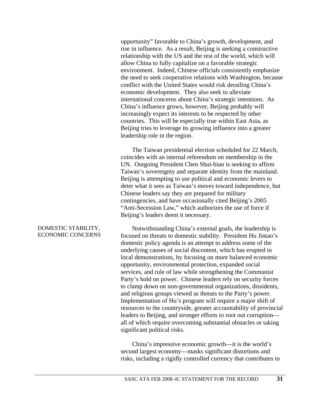opportunity" favorable to China's growth, development, and rise in influence. As a result, Beijing is seeking a constructive relationship with the US and the rest of the world, which will allow China to fully capitalize on a favorable strategic environment. Indeed, Chinese officials consistently emphasize the need to seek cooperative relations with Washington, because conflict with the United States would risk derailing China's economic development. They also seek to alleviate international concerns about China's strategic intentions. As China's influence grows, however, Beijing probably will increasingly expect its interests to be respected by other countries. This will be especially true within East Asia, as Beijing tries to leverage its growing influence into a greater leadership role in the region.

The Taiwan presidential election scheduled for 22 March, coincides with an internal referendum on membership in the UN. Outgoing President Chen Shui-bian is seeking to affirm Taiwan's sovereignty and separate identity from the mainland. Beijing is attempting to use political and economic levers to deter what it sees as Taiwan's moves toward independence, but Chinese leaders say they are prepared for military contingencies, and have occasionally cited Beijing's 2005 "Anti-Secession Law," which authorizes the use of force if Beijing's leaders deem it necessary.

Notwithstanding China's external goals, the leadership is focused on threats to domestic stability. President Hu Jintao's domestic policy agenda is an attempt to address some of the underlying causes of social discontent, which has erupted in local demonstrations, by focusing on more balanced economic opportunity, environmental protection, expanded social services, and rule of law while strengthening the Communist Party's hold on power. Chinese leaders rely on security forces to clamp down on non-governmental organizations, dissidents, and religious groups viewed as threats to the Party's power. Implementation of Hu's program will require a major shift of resources to the countryside, greater accountability of provincial leaders to Beijing, and stronger efforts to root out corruption all of which require overcoming substantial obstacles or taking significant political risks.

China's impressive economic growth—it is the world's second largest economy—masks significant distortions and risks, including a rigidly controlled currency that contributes to

# ECONOMIC CONCERNS

DOMESTIC STABILITY,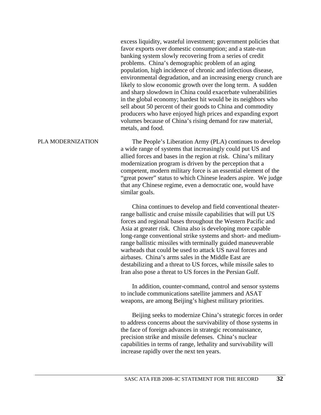excess liquidity, wasteful investment; government policies that favor exports over domestic consumption; and a state-run banking system slowly recovering from a series of credit problems. China's demographic problem of an aging population, high incidence of chronic and infectious disease, environmental degradation, and an increasing energy crunch are likely to slow economic growth over the long term. A sudden and sharp slowdown in China could exacerbate vulnerabilities in the global economy; hardest hit would be its neighbors who sell about 50 percent of their goods to China and commodity producers who have enjoyed high prices and expanding export volumes because of China's rising demand for raw material, metals, and food.

PLA MODERNIZATION The People's Liberation Army (PLA) continues to develop a wide range of systems that increasingly could put US and allied forces and bases in the region at risk. China's military modernization program is driven by the perception that a competent, modern military force is an essential element of the "great power" status to which Chinese leaders aspire. We judge that any Chinese regime, even a democratic one, would have similar goals.

> China continues to develop and field conventional theaterrange ballistic and cruise missile capabilities that will put US forces and regional bases throughout the Western Pacific and Asia at greater risk. China also is developing more capable long-range conventional strike systems and short- and mediumrange ballistic missiles with terminally guided maneuverable warheads that could be used to attack US naval forces and airbases. China's arms sales in the Middle East are destabilizing and a threat to US forces, while missile sales to Iran also pose a threat to US forces in the Persian Gulf.

> In addition, counter-command, control and sensor systems to include communications satellite jammers and ASAT weapons, are among Beijing's highest military priorities.

Beijing seeks to modernize China's strategic forces in order to address concerns about the survivability of those systems in the face of foreign advances in strategic reconnaissance, precision strike and missile defenses. China's nuclear capabilities in terms of range, lethality and survivability will increase rapidly over the next ten years.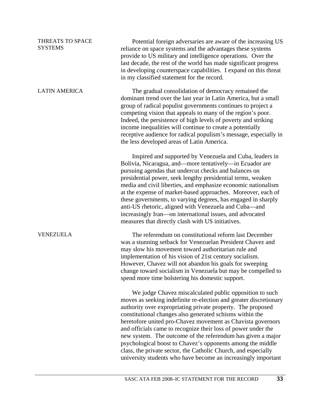### THREATS TO SPACE **SYSTEMS**

Potential foreign adversaries are aware of the increasing US reliance on space systems and the advantages these systems provide to US military and intelligence operations. Over the last decade, the rest of the world has made significant progress in developing counterspace capabilities. I expand on this threat in my classified statement for the record.

LATIN AMERICA The gradual consolidation of democracy remained the dominant trend over the last year in Latin America, but a small group of radical populist governments continues to project a competing vision that appeals to many of the region's poor. Indeed, the persistence of high levels of poverty and striking income inequalities will continue to create a potentially receptive audience for radical populism's message, especially in the less developed areas of Latin America.

> Inspired and supported by Venezuela and Cuba, leaders in Bolivia, Nicaragua, and—more tentatively—in Ecuador are pursuing agendas that undercut checks and balances on presidential power, seek lengthy presidential terms, weaken media and civil liberties, and emphasize economic nationalism at the expense of market-based approaches. Moreover, each of these governments, to varying degrees, has engaged in sharply anti-US rhetoric, aligned with Venezuela and Cuba—and increasingly Iran—on international issues, and advocated measures that directly clash with US initiatives.

VENEZUELA The referendum on constitutional reform last December was a stunning setback for Venezuelan President Chavez and may slow his movement toward authoritarian rule and implementation of his vision of 21st century socialism. However, Chavez will not abandon his goals for sweeping change toward socialism in Venezuela but may be compelled to spend more time bolstering his domestic support.

> We judge Chavez miscalculated public opposition to such moves as seeking indefinite re-election and greater discretionary authority over expropriating private property. The proposed constitutional changes also generated schisms within the heretofore united pro-Chavez movement as Chavista governors and officials came to recognize their loss of power under the new system. The outcome of the referendum has given a major psychological boost to Chavez's opponents among the middle class, the private sector, the Catholic Church, and especially university students who have become an increasingly important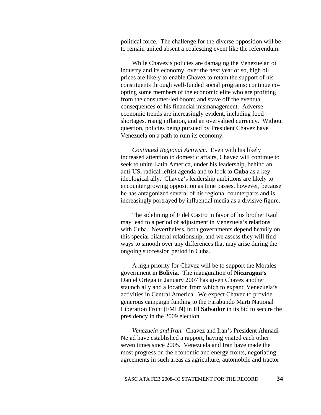political force. The challenge for the diverse opposition will be to remain united absent a coalescing event like the referendum.

While Chavez's policies are damaging the Venezuelan oil industry and its economy, over the next year or so, high oil prices are likely to enable Chavez to retain the support of his constituents through well-funded social programs; continue coopting some members of the economic elite who are profiting from the consumer-led boom; and stave off the eventual consequences of his financial mismanagement. Adverse economic trends are increasingly evident, including food shortages, rising inflation, and an overvalued currency. Without question, policies being pursued by President Chavez have Venezuela on a path to ruin its economy.

*Continued Regional Activism.* Even with his likely increased attention to domestic affairs, Chavez will continue to seek to unite Latin America, under his leadership, behind an anti-US, radical leftist agenda and to look to **Cuba** as a key ideological ally. Chavez's leadership ambitions are likely to encounter growing opposition as time passes, however, because he has antagonized several of his regional counterparts and is increasingly portrayed by influential media as a divisive figure.

The sidelining of Fidel Castro in favor of his brother Raul may lead to a period of adjustment in Venezuela's relations with Cuba. Nevertheless, both governments depend heavily on this special bilateral relationship, and we assess they will find ways to smooth over any differences that may arise during the ongoing succession period in Cuba.

A high priority for Chavez will be to support the Morales government in **Bolivia.** The inauguration of **Nicaragua's** Daniel Ortega in January 2007 has given Chavez another staunch ally and a location from which to expand Venezuela's activities in Central America. We expect Chavez to provide generous campaign funding to the Farabundo Marti National Liberation Front (FMLN) in **El Salvador** in its bid to secure the presidency in the 2009 election.

*Venezuela and Iran.* Chavez and Iran's President Ahmadi-Nejad have established a rapport, having visited each other seven times since 2005. Venezuela and Iran have made the most progress on the economic and energy fronts, negotiating agreements in such areas as agriculture, automobile and tractor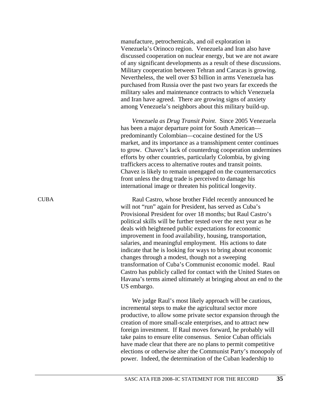manufacture, petrochemicals, and oil exploration in Venezuela's Orinoco region. Venezuela and Iran also have discussed cooperation on nuclear energy, but we are not aware of any significant developments as a result of these discussions. Military cooperation between Tehran and Caracas is growing. Nevertheless, the well over \$3 billion in arms Venezuela has purchased from Russia over the past two years far exceeds the military sales and maintenance contracts to which Venezuela and Iran have agreed. There are growing signs of anxiety among Venezuela's neighbors about this military build-up.

*Venezuela as Drug Transit Point*. Since 2005 Venezuela has been a major departure point for South American predominantly Colombian—cocaine destined for the US market, and its importance as a transshipment center continues to grow. Chavez's lack of counterdrug cooperation undermines efforts by other countries, particularly Colombia, by giving traffickers access to alternative routes and transit points. Chavez is likely to remain unengaged on the counternarcotics front unless the drug trade is perceived to damage his international image or threaten his political longevity.

CUBA Raul Castro, whose brother Fidel recently announced he will not "run" again for President, has served as Cuba's Provisional President for over 18 months; but Raul Castro's political skills will be further tested over the next year as he deals with heightened public expectations for economic improvement in food availability, housing, transportation, salaries, and meaningful employment. His actions to date indicate that he is looking for ways to bring about economic changes through a modest, though not a sweeping transformation of Cuba's Communist economic model. Raul Castro has publicly called for contact with the United States on Havana's terms aimed ultimately at bringing about an end to the US embargo.

> We judge Raul's most likely approach will be cautious, incremental steps to make the agricultural sector more productive, to allow some private sector expansion through the creation of more small-scale enterprises, and to attract new foreign investment. If Raul moves forward, he probably will take pains to ensure elite consensus. Senior Cuban officials have made clear that there are no plans to permit competitive elections or otherwise alter the Communist Party's monopoly of power. Indeed, the determination of the Cuban leadership to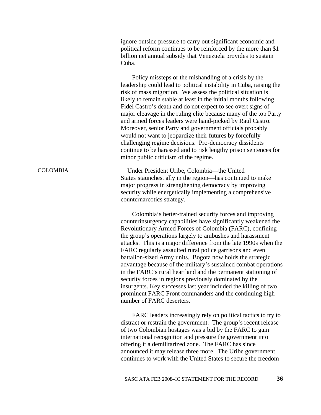ignore outside pressure to carry out significant economic and political reform continues to be reinforced by the more than \$1 billion net annual subsidy that Venezuela provides to sustain Cuba.

Policy missteps or the mishandling of a crisis by the leadership could lead to political instability in Cuba, raising the risk of mass migration. We assess the political situation is likely to remain stable at least in the initial months following Fidel Castro's death and do not expect to see overt signs of major cleavage in the ruling elite because many of the top Party and armed forces leaders were hand-picked by Raul Castro. Moreover, senior Party and government officials probably would not want to jeopardize their futures by forcefully challenging regime decisions. Pro-democracy dissidents continue to be harassed and to risk lengthy prison sentences for minor public criticism of the regime.

COLOMBIA Under President Uribe, Colombia—the United States'staunchest ally in the region—has continued to make major progress in strengthening democracy by improving security while energetically implementing a comprehensive counternarcotics strategy.

> Colombia's better-trained security forces and improving counterinsurgency capabilities have significantly weakened the Revolutionary Armed Forces of Colombia (FARC), confining the group's operations largely to ambushes and harassment attacks. This is a major difference from the late 1990s when the FARC regularly assaulted rural police garrisons and even battalion-sized Army units. Bogota now holds the strategic advantage because of the military's sustained combat operations in the FARC's rural heartland and the permanent stationing of security forces in regions previously dominated by the insurgents. Key successes last year included the killing of two prominent FARC Front commanders and the continuing high number of FARC deserters.

> FARC leaders increasingly rely on political tactics to try to distract or restrain the government. The group's recent release of two Colombian hostages was a bid by the FARC to gain international recognition and pressure the government into offering it a demilitarized zone. The FARC has since announced it may release three more. The Uribe government continues to work with the United States to secure the freedom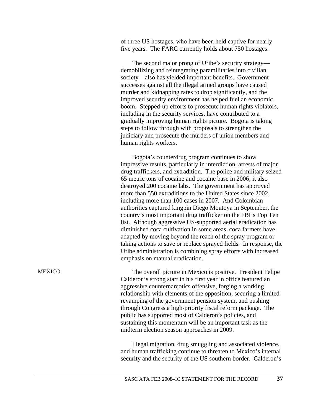of three US hostages, who have been held captive for nearly five years. The FARC currently holds about 750 hostages.

The second major prong of Uribe's security strategy demobilizing and reintegrating paramilitaries into civilian society—also has yielded important benefits. Government successes against all the illegal armed groups have caused murder and kidnapping rates to drop significantly, and the improved security environment has helped fuel an economic boom. Stepped-up efforts to prosecute human rights violators, including in the security services, have contributed to a gradually improving human rights picture. Bogota is taking steps to follow through with proposals to strengthen the judiciary and prosecute the murders of union members and human rights workers.

Bogota's counterdrug program continues to show impressive results, particularly in interdiction, arrests of major drug traffickers, and extradition. The police and military seized 65 metric tons of cocaine and cocaine base in 2006; it also destroyed 200 cocaine labs. The government has approved more than 550 extraditions to the United States since 2002, including more than 100 cases in 2007. And Colombian authorities captured kingpin Diego Montoya in September, the country's most important drug trafficker on the FBI's Top Ten list. Although aggressive US-supported aerial eradication has diminished coca cultivation in some areas, coca farmers have adapted by moving beyond the reach of the spray program or taking actions to save or replace sprayed fields. In response, the Uribe administration is combining spray efforts with increased emphasis on manual eradication.

MEXICO The overall picture in Mexico is positive. President Felipe Calderon's strong start in his first year in office featured an aggressive counternarcotics offensive, forging a working relationship with elements of the opposition, securing a limited revamping of the government pension system, and pushing through Congress a high-priority fiscal reform package. The public has supported most of Calderon's policies, and sustaining this momentum will be an important task as the midterm election season approaches in 2009.

> Illegal migration, drug smuggling and associated violence, and human trafficking continue to threaten to Mexico's internal security and the security of the US southern border. Calderon's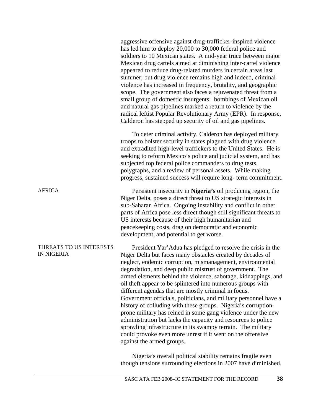aggressive offensive against drug-trafficker-inspired violence has led him to deploy 20,000 to 30,000 federal police and soldiers to 10 Mexican states. A mid-year truce between major Mexican drug cartels aimed at diminishing inter-cartel violence appeared to reduce drug-related murders in certain areas last summer; but drug violence remains high and indeed, criminal violence has increased in frequency, brutality, and geographic scope. The government also faces a rejuvenated threat from a small group of domestic insurgents: bombings of Mexican oil and natural gas pipelines marked a return to violence by the radical leftist Popular Revolutionary Army (EPR). In response, Calderon has stepped up security of oil and gas pipelines.

To deter criminal activity, Calderon has deployed military troops to bolster security in states plagued with drug violence and extradited high-level traffickers to the United States. He is seeking to reform Mexico's police and judicial system, and has subjected top federal police commanders to drug tests, polygraphs, and a review of personal assets. While making progress, sustained success will require long- term commitment.

AFRICA Persistent insecurity in **Nigeria's** oil producing region, the Niger Delta, poses a direct threat to US strategic interests in sub-Saharan Africa. Ongoing instability and conflict in other parts of Africa pose less direct though still significant threats to US interests because of their high humanitarian and peacekeeping costs, drag on democratic and economic development, and potential to get worse.

President Yar'Adua has pledged to resolve the crisis in the Niger Delta but faces many obstacles created by decades of neglect, endemic corruption, mismanagement, environmental degradation, and deep public mistrust of government. The armed elements behind the violence, sabotage, kidnappings, and oil theft appear to be splintered into numerous groups with different agendas that are mostly criminal in focus. Government officials, politicians, and military personnel have a history of colluding with these groups. Nigeria's corruptionprone military has reined in some gang violence under the new administration but lacks the capacity and resources to police sprawling infrastructure in its swampy terrain. The military could provoke even more unrest if it went on the offensive against the armed groups.

> Nigeria's overall political stability remains fragile even though tensions surrounding elections in 2007 have diminished.

### THREATS TO US INTERESTS IN NIGERIA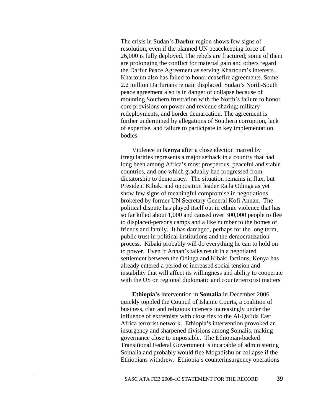The crisis in Sudan's **Darfur** region shows few signs of resolution, even if the planned UN peacekeeping force of 26,000 is fully deployed. The rebels are fractured; some of them are prolonging the conflict for material gain and others regard the Darfur Peace Agreement as serving Khartoum's interests. Khartoum also has failed to honor ceasefire agreements. Some 2.2 million Darfurians remain displaced. Sudan's North-South peace agreement also is in danger of collapse because of mounting Southern frustration with the North's failure to honor core provisions on power and revenue sharing; military redeployments, and border demarcation. The agreement is further undermined by allegations of Southern corruption, lack of expertise, and failure to participate in key implementation bodies.

Violence in **Kenya** after a close election marred by irregularities represents a major setback in a country that had long been among Africa's most prosperous, peaceful and stable countries, and one which gradually had progressed from dictatorship to democracy. The situation remains in flux, but President Kibaki and opposition leader Raila Odinga as yet show few signs of meaningful compromise in negotiations brokered by former UN Secretary General Kofi Annan. The political dispute has played itself out in ethnic violence that has so far killed about 1,000 and caused over 300,000 people to flee to displaced-persons camps and a like number to the homes of friends and family. It has damaged, perhaps for the long term, public trust in political institutions and the democratization process. Kibaki probably will do everything he can to hold on to power. Even if Annan's talks result in a negotiated settlement between the Odinga and Kibaki factions, Kenya has already entered a period of increased social tension and instability that will affect its willingness and ability to cooperate with the US on regional diplomatic and counterterrorist matters

**Ethiopia's** intervention in **Somalia** in December 2006 quickly toppled the Council of Islamic Courts, a coalition of business, clan and religious interests increasingly under the influence of extremists with close ties to the Al-Qa'ida East Africa terrorist network. Ethiopia's intervention provoked an insurgency and sharpened divisions among Somalis, making governance close to impossible. The Ethiopian-backed Transitional Federal Government is incapable of administering Somalia and probably would flee Mogadishu or collapse if the Ethiopians withdrew. Ethiopia's counterinsurgency operations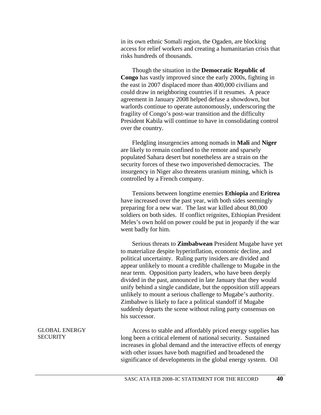in its own ethnic Somali region, the Ogaden, are blocking access for relief workers and creating a humanitarian crisis that risks hundreds of thousands.

Though the situation in the **Democratic Republic of Congo** has vastly improved since the early 2000s, fighting in the east in 2007 displaced more than 400,000 civilians and could draw in neighboring countries if it resumes. A peace agreement in January 2008 helped defuse a showdown, but warlords continue to operate autonomously, underscoring the fragility of Congo's post-war transition and the difficulty President Kabila will continue to have in consolidating control over the country.

Fledgling insurgencies among nomads in **Mali** and **Niger** are likely to remain confined to the remote and sparsely populated Sahara desert but nonetheless are a strain on the security forces of these two impoverished democracies. The insurgency in Niger also threatens uranium mining, which is controlled by a French company.

Tensions between longtime enemies **Ethiopia** and **Eritrea** have increased over the past year, with both sides seemingly preparing for a new war. The last war killed about 80,000 soldiers on both sides. If conflict reignites, Ethiopian President Meles's own hold on power could be put in jeopardy if the war went badly for him.

Serious threats to **Zimbabwean** President Mugabe have yet to materialize despite hyperinflation, economic decline, and political uncertainty. Ruling party insiders are divided and appear unlikely to mount a credible challenge to Mugabe in the near term. Opposition party leaders, who have been deeply divided in the past, announced in late January that they would unify behind a single candidate, but the opposition still appears unlikely to mount a serious challenge to Mugabe's authority. Zimbabwe is likely to face a political standoff if Mugabe suddenly departs the scene without ruling party consensus on his successor.

Access to stable and affordably priced energy supplies has long been a critical element of national security. Sustained increases in global demand and the interactive effects of energy with other issues have both magnified and broadened the significance of developments in the global energy system. Oil

### GLOBAL ENERGY **SECURITY**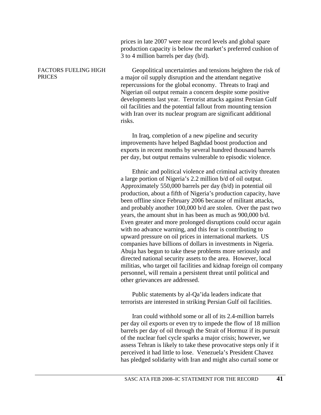prices in late 2007 were near record levels and global spare production capacity is below the market's preferred cushion of 3 to 4 million barrels per day (b/d).

### FACTORS FUELING HIGH PRICES

Geopolitical uncertainties and tensions heighten the risk of a major oil supply disruption and the attendant negative repercussions for the global economy. Threats to Iraqi and Nigerian oil output remain a concern despite some positive developments last year. Terrorist attacks against Persian Gulf oil facilities and the potential fallout from mounting tension with Iran over its nuclear program are significant additional risks.

In Iraq, completion of a new pipeline and security improvements have helped Baghdad boost production and exports in recent months by several hundred thousand barrels per day, but output remains vulnerable to episodic violence.

Ethnic and political violence and criminal activity threaten a large portion of Nigeria's 2.2 million b/d of oil output. Approximately 550,000 barrels per day (b/d) in potential oil production, about a fifth of Nigeria's production capacity, have been offline since February 2006 because of militant attacks, and probably another 100,000 b/d are stolen. Over the past two years, the amount shut in has been as much as 900,000 b/d. Even greater and more prolonged disruptions could occur again with no advance warning, and this fear is contributing to upward pressure on oil prices in international markets. US companies have billions of dollars in investments in Nigeria. Abuja has begun to take these problems more seriously and directed national security assets to the area. However, local militias, who target oil facilities and kidnap foreign oil company personnel, will remain a persistent threat until political and other grievances are addressed.

Public statements by al-Qa'ida leaders indicate that terrorists are interested in striking Persian Gulf oil facilities.

Iran could withhold some or all of its 2.4-million barrels per day oil exports or even try to impede the flow of 18 million barrels per day of oil through the Strait of Hormuz if its pursuit of the nuclear fuel cycle sparks a major crisis; however, we assess Tehran is likely to take these provocative steps only if it perceived it had little to lose. Venezuela's President Chavez has pledged solidarity with Iran and might also curtail some or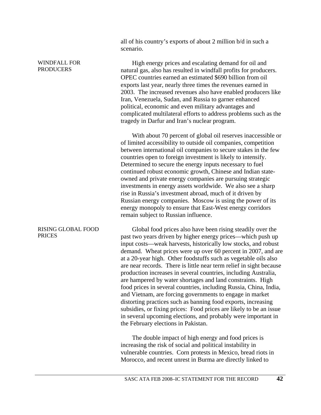all of his country's exports of about 2 million b/d in such a scenario.

High energy prices and escalating demand for oil and natural gas, also has resulted in windfall profits for producers. OPEC countries earned an estimated \$690 billion from oil exports last year, nearly three times the revenues earned in 2003. The increased revenues also have enabled producers like Iran, Venezuela, Sudan, and Russia to garner enhanced political, economic and even military advantages and complicated multilateral efforts to address problems such as the tragedy in Darfur and Iran's nuclear program.

With about 70 percent of global oil reserves inaccessible or of limited accessibility to outside oil companies, competition between international oil companies to secure stakes in the few countries open to foreign investment is likely to intensify. Determined to secure the energy inputs necessary to fuel continued robust economic growth, Chinese and Indian stateowned and private energy companies are pursuing strategic investments in energy assets worldwide. We also see a sharp rise in Russia's investment abroad, much of it driven by Russian energy companies. Moscow is using the power of its energy monopoly to ensure that East-West energy corridors remain subject to Russian influence.

Global food prices also have been rising steadily over the past two years driven by higher energy prices—which push up input costs—weak harvests, historically low stocks, and robust demand. Wheat prices were up over 60 percent in 2007, and are at a 20-year high. Other foodstuffs such as vegetable oils also are near records. There is little near term relief in sight because production increases in several countries, including Australia, are hampered by water shortages and land constraints. High food prices in several countries, including Russia, China, India, and Vietnam, are forcing governments to engage in market distorting practices such as banning food exports, increasing subsidies, or fixing prices: Food prices are likely to be an issue in several upcoming elections, and probably were important in the February elections in Pakistan.

The double impact of high energy and food prices is increasing the risk of social and political instability in vulnerable countries. Corn protests in Mexico, bread riots in Morocco, and recent unrest in Burma are directly linked to

### WINDFALL FOR **PRODUCERS**

### RISING GLOBAL FOOD PRICES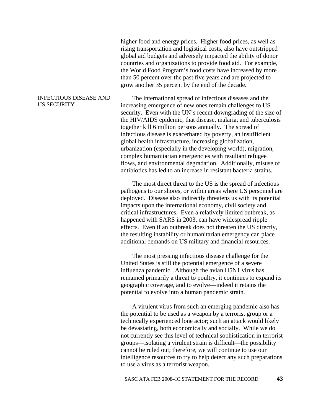higher food and energy prices. Higher food prices, as well as rising transportation and logistical costs, also have outstripped global aid budgets and adversely impacted the ability of donor countries and organizations to provide food aid. For example, the World Food Program's food costs have increased by more than 50 percent over the past five years and are projected to grow another 35 percent by the end of the decade.

### INFECTIOUS DISEASE AND US SECURITY

The international spread of infectious diseases and the increasing emergence of new ones remain challenges to US security. Even with the UN's recent downgrading of the size of the HIV/AIDS epidemic, that disease, malaria, and tuberculosis together kill 6 million persons annually. The spread of infectious disease is exacerbated by poverty, an insufficient global health infrastructure, increasing globalization, urbanization (especially in the developing world), migration, complex humanitarian emergencies with resultant refugee flows, and environmental degradation. Additionally, misuse of antibiotics has led to an increase in resistant bacteria strains.

The most direct threat to the US is the spread of infectious pathogens to our shores, or within areas where US personnel are deployed. Disease also indirectly threatens us with its potential impacts upon the international economy, civil society and critical infrastructures. Even a relatively limited outbreak, as happened with SARS in 2003, can have widespread ripple effects. Even if an outbreak does not threaten the US directly, the resulting instability or humanitarian emergency can place additional demands on US military and financial resources.

The most pressing infectious disease challenge for the United States is still the potential emergence of a severe influenza pandemic. Although the avian H5N1 virus has remained primarily a threat to poultry, it continues to expand its geographic coverage, and to evolve—indeed it retains the potential to evolve into a human pandemic strain.

A virulent virus from such an emerging pandemic also has the potential to be used as a weapon by a terrorist group or a technically experienced lone actor; such an attack would likely be devastating, both economically and socially. While we do not currently see this level of technical sophistication in terrorist groups—isolating a virulent strain is difficult—the possibility cannot be ruled out; therefore, we will continue to use our intelligence resources to try to help detect any such preparations to use a virus as a terrorist weapon.